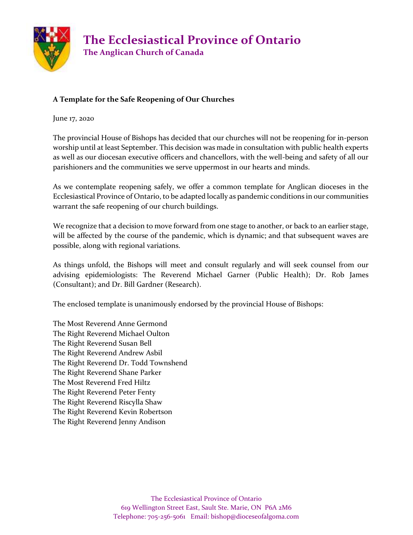

#### **A Template for the Safe Reopening of Our Churches**

June 17, 2020

The provincial House of Bishops has decided that our churches will not be reopening for in-person worship until at least September. This decision was made in consultation with public health experts as well as our diocesan executive officers and chancellors, with the well-being and safety of all our parishioners and the communities we serve uppermost in our hearts and minds.

As we contemplate reopening safely, we offer a common template for Anglican dioceses in the Ecclesiastical Province of Ontario, to be adapted locally as pandemic conditions in our communities warrant the safe reopening of our church buildings.

We recognize that a decision to move forward from one stage to another, or back to an earlier stage, will be affected by the course of the pandemic, which is dynamic; and that subsequent waves are possible, along with regional variations.

As things unfold, the Bishops will meet and consult regularly and will seek counsel from our advising epidemiologists: The Reverend Michael Garner (Public Health); Dr. Rob James (Consultant); and Dr. Bill Gardner (Research).

The enclosed template is unanimously endorsed by the provincial House of Bishops:

The Most Reverend Anne Germond The Right Reverend Michael Oulton The Right Reverend Susan Bell The Right Reverend Andrew Asbil The Right Reverend Dr. Todd Townshend The Right Reverend Shane Parker The Most Reverend Fred Hiltz The Right Reverend Peter Fenty The Right Reverend Riscylla Shaw The Right Reverend Kevin Robertson The Right Reverend Jenny Andison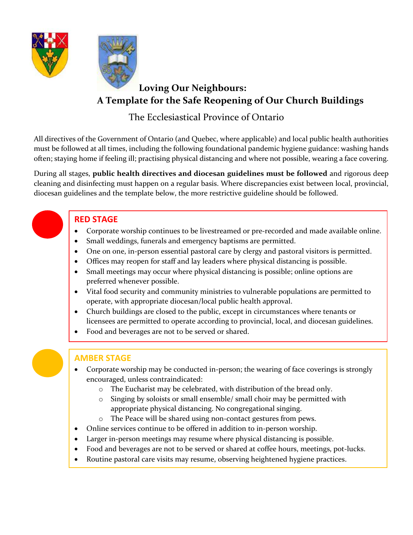



# **Loving Our Neighbours: A Template for the Safe Reopening of Our Church Buildings**

# The Ecclesiastical Province of Ontario

All directives of the Government of Ontario (and Quebec, where applicable) and local public health authorities must be followed at all times, including the following foundational pandemic hygiene guidance: washing hands often; staying home if feeling ill; practising physical distancing and where not possible, wearing a face covering.

During all stages, **public health directives and diocesan guidelines must be followed** and rigorous deep cleaning and disinfecting must happen on a regular basis. Where discrepancies exist between local, provincial, diocesan guidelines and the template below, the more restrictive guideline should be followed.

### **RED STAGE**

- Corporate worship continues to be livestreamed or pre-recorded and made available online.
- Small weddings, funerals and emergency baptisms are permitted.
- One on one, in-person essential pastoral care by clergy and pastoral visitors is permitted.
- Offices may reopen for staff and lay leaders where physical distancing is possible.
- Small meetings may occur where physical distancing is possible; online options are preferred whenever possible.
- Vital food security and community ministries to vulnerable populations are permitted to operate, with appropriate diocesan/local public health approval.
- Church buildings are closed to the public, except in circumstances where tenants or licensees are permitted to operate according to provincial, local, and diocesan guidelines.
- Food and beverages are not to be served or shared.

### **AMBER STAGE**

- Corporate worship may be conducted in-person; the wearing of face coverings is strongly encouraged, unless contraindicated:
	- o The Eucharist may be celebrated, with distribution of the bread only.
	- o Singing by soloists or small ensemble/ small choir may be permitted with appropriate physical distancing. No congregational singing.
	- o The Peace will be shared using non-contact gestures from pews.
- Online services continue to be offered in addition to in-person worship.
- Larger in-person meetings may resume where physical distancing is possible.
- Food and beverages are not to be served or shared at coffee hours, meetings, pot-lucks.
- Routine pastoral care visits may resume, observing heightened hygiene practices.